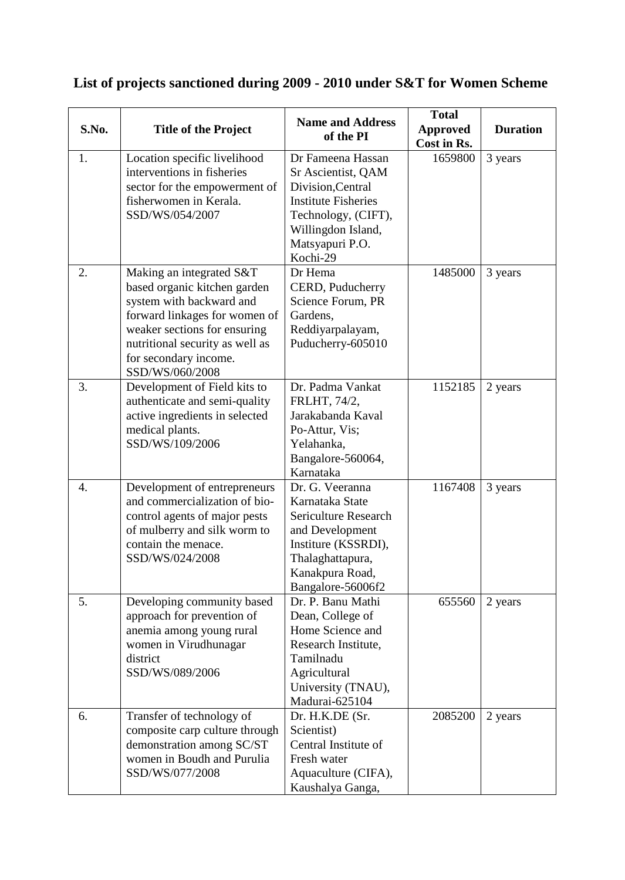## **List of projects sanctioned during 2009 - 2010 under S&T for Women Scheme**

| S.No. | <b>Title of the Project</b>                                                                                                                                                                                                          | <b>Name and Address</b><br>of the PI                                                                                                                                   | <b>Total</b><br><b>Approved</b><br>Cost in Rs. | <b>Duration</b> |
|-------|--------------------------------------------------------------------------------------------------------------------------------------------------------------------------------------------------------------------------------------|------------------------------------------------------------------------------------------------------------------------------------------------------------------------|------------------------------------------------|-----------------|
| 1.    | Location specific livelihood<br>interventions in fisheries<br>sector for the empowerment of<br>fisherwomen in Kerala.<br>SSD/WS/054/2007                                                                                             | Dr Fameena Hassan<br>Sr Ascientist, QAM<br>Division, Central<br><b>Institute Fisheries</b><br>Technology, (CIFT),<br>Willingdon Island,<br>Matsyapuri P.O.<br>Kochi-29 | 1659800                                        | 3 years         |
| 2.    | Making an integrated S&T<br>based organic kitchen garden<br>system with backward and<br>forward linkages for women of<br>weaker sections for ensuring<br>nutritional security as well as<br>for secondary income.<br>SSD/WS/060/2008 | Dr Hema<br>CERD, Puducherry<br>Science Forum, PR<br>Gardens,<br>Reddiyarpalayam,<br>Puducherry-605010                                                                  | 1485000                                        | 3 years         |
| 3.    | Development of Field kits to<br>authenticate and semi-quality<br>active ingredients in selected<br>medical plants.<br>SSD/WS/109/2006                                                                                                | Dr. Padma Vankat<br>FRLHT, 74/2,<br>Jarakabanda Kaval<br>Po-Attur, Vis;<br>Yelahanka,<br>Bangalore-560064,<br>Karnataka                                                | 1152185                                        | 2 years         |
| 4.    | Development of entrepreneurs<br>and commercialization of bio-<br>control agents of major pests<br>of mulberry and silk worm to<br>contain the menace.<br>SSD/WS/024/2008                                                             | Dr. G. Veeranna<br>Karnataka State<br>Sericulture Research<br>and Development<br>Institure (KSSRDI),<br>Thalaghattapura,<br>Kanakpura Road,<br>Bangalore-56006f2       | 1167408                                        | 3 years         |
| 5.    | Developing community based<br>approach for prevention of<br>anemia among young rural<br>women in Virudhunagar<br>district<br>SSD/WS/089/2006                                                                                         | Dr. P. Banu Mathi<br>Dean, College of<br>Home Science and<br>Research Institute,<br>Tamilnadu<br>Agricultural<br>University (TNAU),<br>Madurai-625104                  | 655560                                         | 2 years         |
| 6.    | Transfer of technology of<br>composite carp culture through<br>demonstration among SC/ST<br>women in Boudh and Purulia<br>SSD/WS/077/2008                                                                                            | Dr. H.K.DE (Sr.<br>Scientist)<br>Central Institute of<br>Fresh water<br>Aquaculture (CIFA),<br>Kaushalya Ganga,                                                        | 2085200                                        | 2 years         |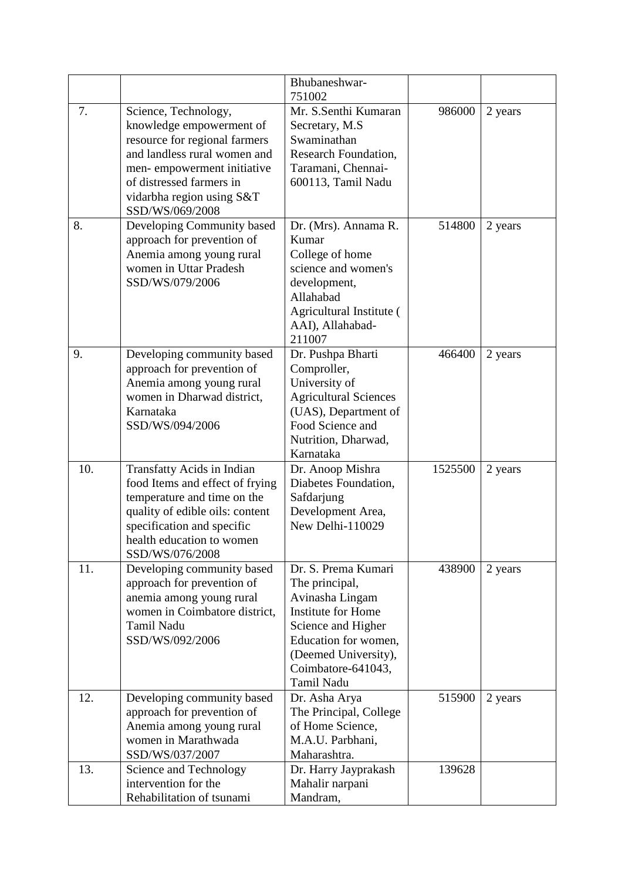|     |                                                                                                                                                                                                                             | Bhubaneshwar-<br>751002                                                                                                                                                                         |         |         |
|-----|-----------------------------------------------------------------------------------------------------------------------------------------------------------------------------------------------------------------------------|-------------------------------------------------------------------------------------------------------------------------------------------------------------------------------------------------|---------|---------|
| 7.  | Science, Technology,<br>knowledge empowerment of<br>resource for regional farmers<br>and landless rural women and<br>men-empowerment initiative<br>of distressed farmers in<br>vidarbha region using S&T<br>SSD/WS/069/2008 | Mr. S.Senthi Kumaran<br>Secretary, M.S.<br>Swaminathan<br>Research Foundation,<br>Taramani, Chennai-<br>600113, Tamil Nadu                                                                      | 986000  | 2 years |
| 8.  | Developing Community based<br>approach for prevention of<br>Anemia among young rural<br>women in Uttar Pradesh<br>SSD/WS/079/2006                                                                                           | Dr. (Mrs). Annama R.<br>Kumar<br>College of home<br>science and women's<br>development,<br>Allahabad<br>Agricultural Institute (<br>AAI), Allahabad-<br>211007                                  | 514800  | 2 years |
| 9.  | Developing community based<br>approach for prevention of<br>Anemia among young rural<br>women in Dharwad district,<br>Karnataka<br>SSD/WS/094/2006                                                                          | Dr. Pushpa Bharti<br>Comproller,<br>University of<br><b>Agricultural Sciences</b><br>(UAS), Department of<br>Food Science and<br>Nutrition, Dharwad,<br>Karnataka                               | 466400  | 2 years |
| 10. | Transfatty Acids in Indian<br>food Items and effect of frying<br>temperature and time on the<br>quality of edible oils: content<br>specification and specific<br>health education to women<br>SSD/WS/076/2008               | Dr. Anoop Mishra<br>Diabetes Foundation,<br>Safdarjung<br>Development Area,<br>New Delhi-110029                                                                                                 | 1525500 | 2 years |
| 11. | Developing community based<br>approach for prevention of<br>anemia among young rural<br>women in Coimbatore district,<br>Tamil Nadu<br>SSD/WS/092/2006                                                                      | Dr. S. Prema Kumari<br>The principal,<br>Avinasha Lingam<br><b>Institute for Home</b><br>Science and Higher<br>Education for women,<br>(Deemed University),<br>Coimbatore-641043,<br>Tamil Nadu | 438900  | 2 years |
| 12. | Developing community based<br>approach for prevention of<br>Anemia among young rural<br>women in Marathwada<br>SSD/WS/037/2007                                                                                              | Dr. Asha Arya<br>The Principal, College<br>of Home Science,<br>M.A.U. Parbhani,<br>Maharashtra.                                                                                                 | 515900  | 2 years |
| 13. | Science and Technology<br>intervention for the<br>Rehabilitation of tsunami                                                                                                                                                 | Dr. Harry Jayprakash<br>Mahalir narpani<br>Mandram,                                                                                                                                             | 139628  |         |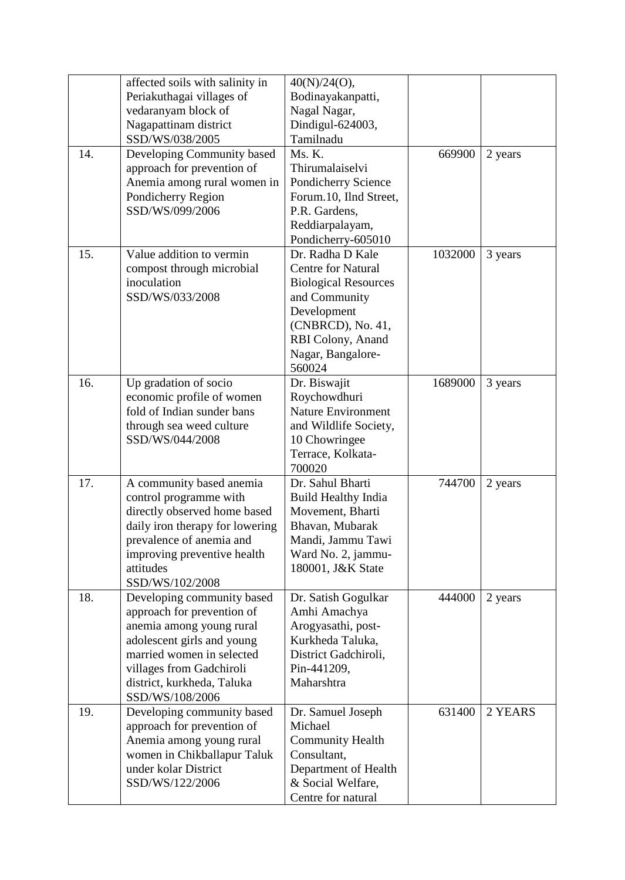|     | affected soils with salinity in | 40(N)/24(O),                |         |         |
|-----|---------------------------------|-----------------------------|---------|---------|
|     | Periakuthagai villages of       | Bodinayakanpatti,           |         |         |
|     | vedaranyam block of             | Nagal Nagar,                |         |         |
|     | Nagapattinam district           | Dindigul-624003,            |         |         |
|     | SSD/WS/038/2005                 | Tamilnadu                   |         |         |
| 14. | Developing Community based      | Ms. K.                      | 669900  | 2 years |
|     | approach for prevention of      | Thirumalaiselvi             |         |         |
|     | Anemia among rural women in     | Pondicherry Science         |         |         |
|     | Pondicherry Region              | Forum.10, Ilnd Street,      |         |         |
|     | SSD/WS/099/2006                 | P.R. Gardens,               |         |         |
|     |                                 | Reddiarpalayam,             |         |         |
|     |                                 | Pondicherry-605010          |         |         |
| 15. | Value addition to vermin        | Dr. Radha D Kale            | 1032000 | 3 years |
|     | compost through microbial       | <b>Centre for Natural</b>   |         |         |
|     | inoculation                     | <b>Biological Resources</b> |         |         |
|     | SSD/WS/033/2008                 | and Community               |         |         |
|     |                                 | Development                 |         |         |
|     |                                 | (CNBRCD), No. 41,           |         |         |
|     |                                 | RBI Colony, Anand           |         |         |
|     |                                 |                             |         |         |
|     |                                 | Nagar, Bangalore-<br>560024 |         |         |
|     |                                 |                             |         |         |
| 16. | Up gradation of socio           | Dr. Biswajit                | 1689000 | 3 years |
|     | economic profile of women       | Roychowdhuri                |         |         |
|     | fold of Indian sunder bans      | <b>Nature Environment</b>   |         |         |
|     | through sea weed culture        | and Wildlife Society,       |         |         |
|     | SSD/WS/044/2008                 | 10 Chowringee               |         |         |
|     |                                 | Terrace, Kolkata-           |         |         |
|     |                                 | 700020                      |         |         |
| 17. | A community based anemia        | Dr. Sahul Bharti            | 744700  | 2 years |
|     | control programme with          | <b>Build Healthy India</b>  |         |         |
|     | directly observed home based    | Movement, Bharti            |         |         |
|     | daily iron therapy for lowering | Bhavan, Mubarak             |         |         |
|     | prevalence of anemia and        | Mandi, Jammu Tawi           |         |         |
|     | improving preventive health     | Ward No. 2, jammu-          |         |         |
|     | attitudes                       | 180001, J&K State           |         |         |
|     | SSD/WS/102/2008                 |                             |         |         |
| 18. | Developing community based      | Dr. Satish Gogulkar         | 444000  | 2 years |
|     | approach for prevention of      | Amhi Amachya                |         |         |
|     | anemia among young rural        | Arogyasathi, post-          |         |         |
|     | adolescent girls and young      | Kurkheda Taluka,            |         |         |
|     | married women in selected       | District Gadchiroli,        |         |         |
|     | villages from Gadchiroli        | Pin-441209,                 |         |         |
|     | district, kurkheda, Taluka      | Maharshtra                  |         |         |
|     | SSD/WS/108/2006                 |                             |         |         |
| 19. | Developing community based      | Dr. Samuel Joseph           | 631400  | 2 YEARS |
|     | approach for prevention of      | Michael                     |         |         |
|     | Anemia among young rural        | <b>Community Health</b>     |         |         |
|     | women in Chikballapur Taluk     | Consultant,                 |         |         |
|     | under kolar District            | Department of Health        |         |         |
|     | SSD/WS/122/2006                 | & Social Welfare,           |         |         |
|     |                                 | Centre for natural          |         |         |